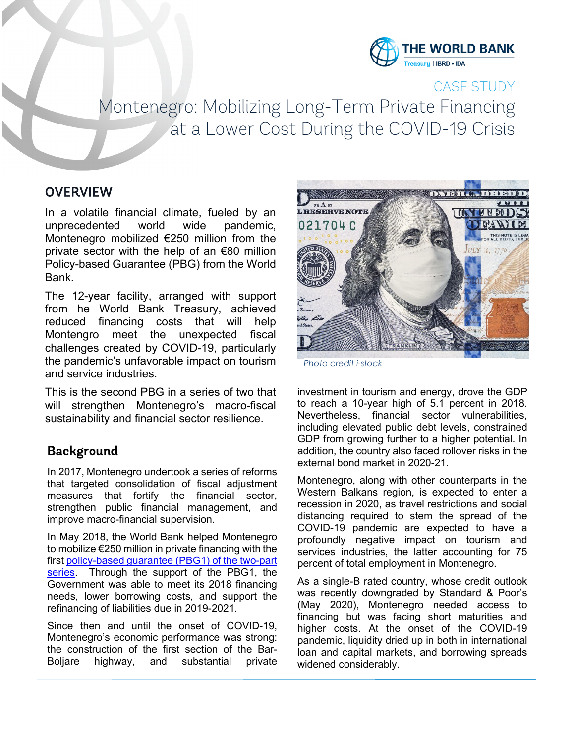

# CASE STUDY Montenegro: Mobilizing Long-Term Private Financing at a Lower Cost During the COVID-19 Crisis

## **OVERVIEW**

In a volatile financial climate, fueled by an unprecedented world wide pandemic, Montenegro mobilized €250 million from the private sector with the help of an €80 million Policy-based Guarantee (PBG) from the World Bank.

The 12-year facility, arranged with support from he World Bank Treasury, achieved reduced financing costs that will help Montengro meet the unexpected fiscal challenges created by COVID-19, particularly the pandemic's unfavorable impact on tourism and service industries.

This is the second PBG in a series of two that will strengthen Montenegro's macro-fiscal sustainability and financial sector resilience.

## **Background**

In 2017, Montenegro undertook a series of reforms that targeted consolidation of fiscal adjustment measures that fortify the financial sector, strengthen public financial management, and improve macro-financial supervision.

In May 2018, the World Bank helped Montenegro to mobilize €250 million in private financing with the firs[t policy-based guarantee \(PBG1\)](http://documents.worldbank.org/curated/en/889011553000608200/Montenegro-Mobilizing-Private-Financing-with-Policy-Based-Guarantees-Case-Study.pdf) of the two-part series. Through the support of the PBG1, the Government was able to meet its 2018 financing needs, lower borrowing costs, and support the refinancing of liabilities due in 2019-2021.

Since then and until the onset of COVID-19, Montenegro's economic performance was strong: the construction of the first section of the Bar-Boljare highway, and substantial private



*Photo credit i-stock*

investment in tourism and energy, drove the GDP to reach a 10-year high of 5.1 percent in 2018. Nevertheless, financial sector vulnerabilities, including elevated public debt levels, constrained GDP from growing further to a higher potential. In addition, the country also faced rollover risks in the external bond market in 2020-21.

Montenegro, along with other counterparts in the Western Balkans region, is expected to enter a recession in 2020, as travel restrictions and social distancing required to stem the spread of the COVID-19 pandemic are expected to have a profoundly negative impact on tourism and services industries, the latter accounting for 75 percent of total employment in Montenegro.

As a single-B rated country, whose credit outlook was recently downgraded by Standard & Poor's (May 2020), Montenegro needed access to financing but was facing short maturities and higher costs. At the onset of the COVID-19 pandemic, liquidity dried up in both in international loan and capital markets, and borrowing spreads widened considerably.